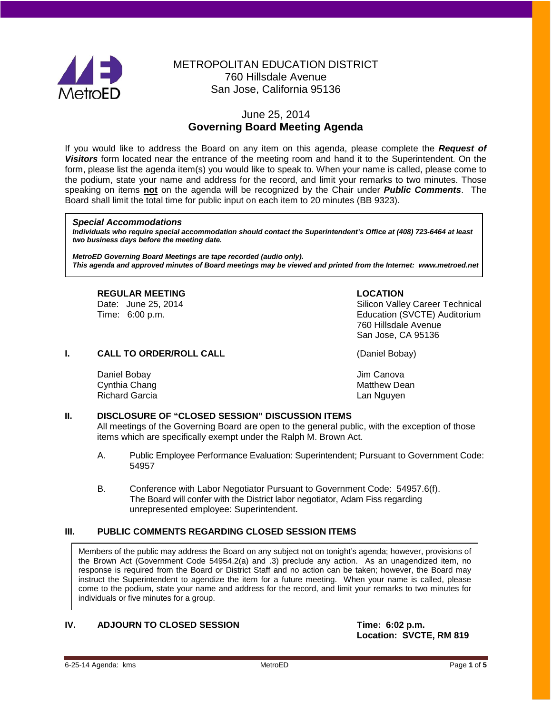

# METROPOLITAN EDUCATION DISTRICT 760 Hillsdale Avenue San Jose, California 95136

# June 25, 2014 **Governing Board Meeting Agenda**

If you would like to address the Board on any item on this agenda, please complete the *Request of Visitors* form located near the entrance of the meeting room and hand it to the Superintendent. On the form, please list the agenda item(s) you would like to speak to. When your name is called, please come to the podium, state your name and address for the record, and limit your remarks to two minutes. Those speaking on items **not** on the agenda will be recognized by the Chair under *Public Comments*. The Board shall limit the total time for public input on each item to 20 minutes (BB 9323).

#### *Special Accommodations*

*Individuals who require special accommodation should contact the Superintendent's Office at (408) 723-6464 at least two business days before the meeting date.*

*MetroED Governing Board Meetings are tape recorded (audio only). This agenda and approved minutes of Board meetings may be viewed and printed from the Internet: www.metroed.net*

# **REGULAR MEETING LOCATION**

Silicon Valley Career Technical Time: 6:00 p.m. Education (SVCTE) Auditorium 760 Hillsdale Avenue San Jose, CA 95136

# **I. CALL TO ORDER/ROLL CALL CALL CALL** (Daniel Bobay)

Daniel Bobay **Daniel Bobay** Jim Canova Cynthia Chang Matthew Dean Nathew Dean Nathew Dean Nathew Dean Nathew Dean Richard Garcia **Lan Nguyen** Lan Nguyen

### **II. DISCLOSURE OF "CLOSED SESSION" DISCUSSION ITEMS**

All meetings of the Governing Board are open to the general public, with the exception of those items which are specifically exempt under the Ralph M. Brown Act.

- A. Public Employee Performance Evaluation: Superintendent; Pursuant to Government Code: 54957
- B. Conference with Labor Negotiator Pursuant to Government Code: 54957.6(f). The Board will confer with the District labor negotiator, Adam Fiss regarding unrepresented employee: Superintendent.

# **III. PUBLIC COMMENTS REGARDING CLOSED SESSION ITEMS**

Members of the public may address the Board on any subject not on tonight's agenda; however, provisions of the Brown Act (Government Code 54954.2(a) and .3) preclude any action. As an unagendized item, no response is required from the Board or District Staff and no action can be taken; however, the Board may instruct the Superintendent to agendize the item for a future meeting. When your name is called, please come to the podium, state your name and address for the record, and limit your remarks to two minutes for individuals or five minutes for a group.

# **IV. ADJOURN TO CLOSED SESSION Time: 6:02 p.m.**

**Location: SVCTE, RM 819**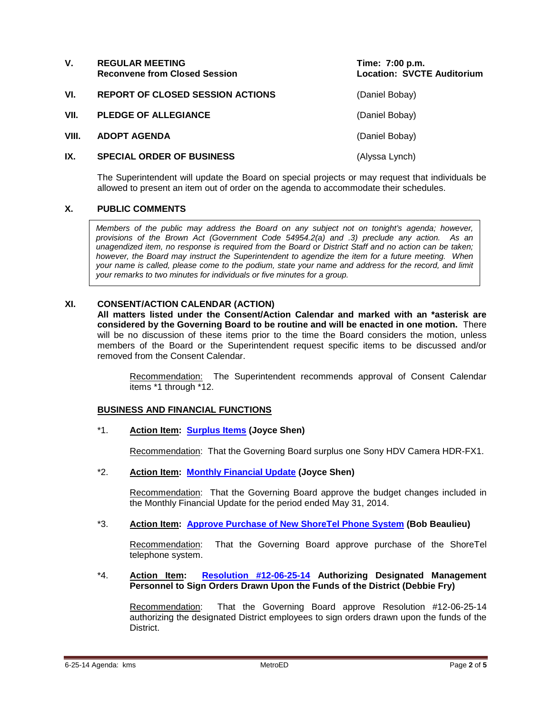| V.    | <b>REGULAR MEETING</b><br><b>Reconvene from Closed Session</b> | Time: 7:00 p.m.<br><b>Location: SVCTE Auditorium</b> |
|-------|----------------------------------------------------------------|------------------------------------------------------|
| VI.   | <b>REPORT OF CLOSED SESSION ACTIONS</b>                        | (Daniel Bobay)                                       |
| VII.  | <b>PLEDGE OF ALLEGIANCE</b>                                    | (Daniel Bobay)                                       |
| VIII. | <b>ADOPT AGENDA</b>                                            | (Daniel Bobay)                                       |
| IX.   | <b>SPECIAL ORDER OF BUSINESS</b>                               | (Alyssa Lynch)                                       |

The Superintendent will update the Board on special projects or may request that individuals be allowed to present an item out of order on the agenda to accommodate their schedules.

# **X. PUBLIC COMMENTS**

*Members of the public may address the Board on any subject not on tonight's agenda; however, provisions of the Brown Act (Government Code 54954.2(a) and .3) preclude any action. As an unagendized item, no response is required from the Board or District Staff and no action can be taken; however, the Board may instruct the Superintendent to agendize the item for a future meeting. When your name is called, please come to the podium, state your name and address for the record, and limit your remarks to two minutes for individuals or five minutes for a group.*

# **XI. CONSENT/ACTION CALENDAR (ACTION)**

**All matters listed under the Consent/Action Calendar and marked with an \*asterisk are considered by the Governing Board to be routine and will be enacted in one motion.** There will be no discussion of these items prior to the time the Board considers the motion, unless members of the Board or the Superintendent request specific items to be discussed and/or removed from the Consent Calendar.

Recommendation: The Superintendent recommends approval of Consent Calendar items \*1 through \*12.

### **BUSINESS AND FINANCIAL FUNCTIONS**

\*1. **Action Item: [Surplus Items](http://fbsd.metroed.net/ksmith/Board_Agenda/06-25-14BoardAgenda/Item-01.pdf) (Joyce Shen)**

Recommendation: That the Governing Board surplus one Sony HDV Camera HDR-FX1.

\*2. **Action Item: [Monthly Financial Update](http://fbsd.metroed.net/ksmith/Board_Agenda/06-25-14BoardAgenda/Item-02.pdf) (Joyce Shen)**

Recommendation: That the Governing Board approve the budget changes included in the Monthly Financial Update for the period ended May 31, 2014.

\*3. **Action Item: [Approve Purchase of New ShoreTel Phone System](http://fbsd.metroed.net/ksmith/Board_Agenda/06-25-14BoardAgenda/Item-03.pdf) (Bob Beaulieu)**

Recommendation: That the Governing Board approve purchase of the ShoreTel telephone system.

### \*4. **Action Item: [Resolution #12-06-25-14](http://fbsd.metroed.net/ksmith/Board_Agenda/06-25-14BoardAgenda/Item-04.pdf) Authorizing Designated Management Personnel to Sign Orders Drawn Upon the Funds of the District (Debbie Fry)**

Recommendation: That the Governing Board approve Resolution #12-06-25-14 authorizing the designated District employees to sign orders drawn upon the funds of the District.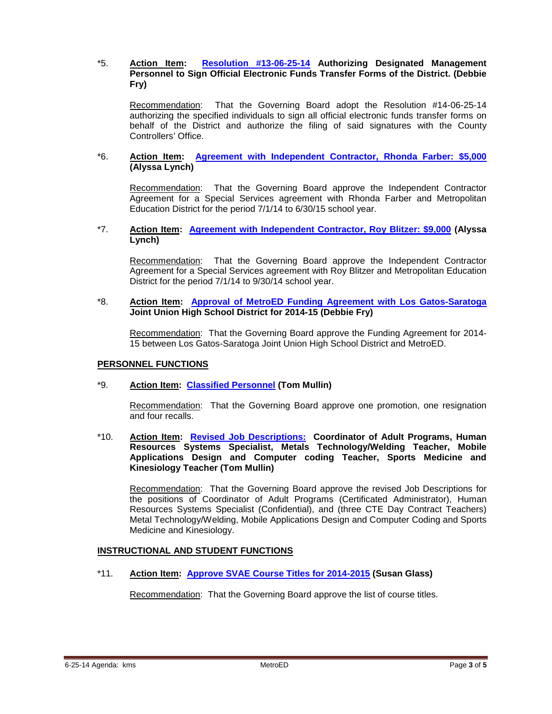# \*5. **Action Item: [Resolution #13-06-25-14](http://fbsd.metroed.net/ksmith/Board_Agenda/06-25-14BoardAgenda/Item-05.pdf) Authorizing Designated Management Personnel to Sign Official Electronic Funds Transfer Forms of the District. (Debbie Fry)**

Recommendation: That the Governing Board adopt the Resolution #14-06-25-14 authorizing the specified individuals to sign all official electronic funds transfer forms on behalf of the District and authorize the filing of said signatures with the County Controllers' Office.

# \*6. **Action Item: [Agreement with Independent Contractor, Rhonda Farber: \\$5,000](http://fbsd.metroed.net/ksmith/Board_Agenda/06-25-14BoardAgenda/Item-06.pdf) (Alyssa Lynch)**

Recommendation: That the Governing Board approve the Independent Contractor Agreement for a Special Services agreement with Rhonda Farber and Metropolitan Education District for the period 7/1/14 to 6/30/15 school year.

#### \*7. **Action Item: [Agreement with Independent Contractor, Roy Blitzer: \\$9,000](http://fbsd.metroed.net/ksmith/Board_Agenda/06-25-14BoardAgenda/Item-07.pdf) (Alyssa Lynch)**

Recommendation: That the Governing Board approve the Independent Contractor Agreement for a Special Services agreement with Roy Blitzer and Metropolitan Education District for the period 7/1/14 to 9/30/14 school year.

# \*8. **Action Item: [Approval of MetroED Funding Agreement with Los Gatos-Saratoga](http://fbsd.metroed.net/ksmith/Board_Agenda/06-25-14BoardAgenda/Item-08.pdf) Joint Union High School District for 2014-15 (Debbie Fry)**

Recommendation: That the Governing Board approve the Funding Agreement for 2014- 15 between Los Gatos-Saratoga Joint Union High School District and MetroED.

### **PERSONNEL FUNCTIONS**

# \*9. **Action Item: [Classified Personnel](http://fbsd.metroed.net/ksmith/Board_Agenda/06-25-14BoardAgenda/Item-09.pdf) (Tom Mullin)**

Recommendation: That the Governing Board approve one promotion, one resignation and four recalls.

\*10. **Action Item: [Revised Job Descriptions:](http://fbsd.metroed.net/ksmith/Board_Agenda/06-25-14BoardAgenda/Item-10.pdf) Coordinator of Adult Programs, Human Resources Systems Specialist, Metals Technology/Welding Teacher, Mobile Applications Design and Computer coding Teacher, Sports Medicine and Kinesiology Teacher (Tom Mullin)**

Recommendation: That the Governing Board approve the revised Job Descriptions for the positions of Coordinator of Adult Programs (Certificated Administrator), Human Resources Systems Specialist (Confidential), and (three CTE Day Contract Teachers) Metal Technology/Welding, Mobile Applications Design and Computer Coding and Sports Medicine and Kinesiology.

### **INSTRUCTIONAL AND STUDENT FUNCTIONS**

\*11. **Action Item: [Approve SVAE Course Titles for 2014-2015](http://fbsd.metroed.net/ksmith/Board_Agenda/06-25-14BoardAgenda/Item-11.pdf) (Susan Glass)**

Recommendation: That the Governing Board approve the list of course titles.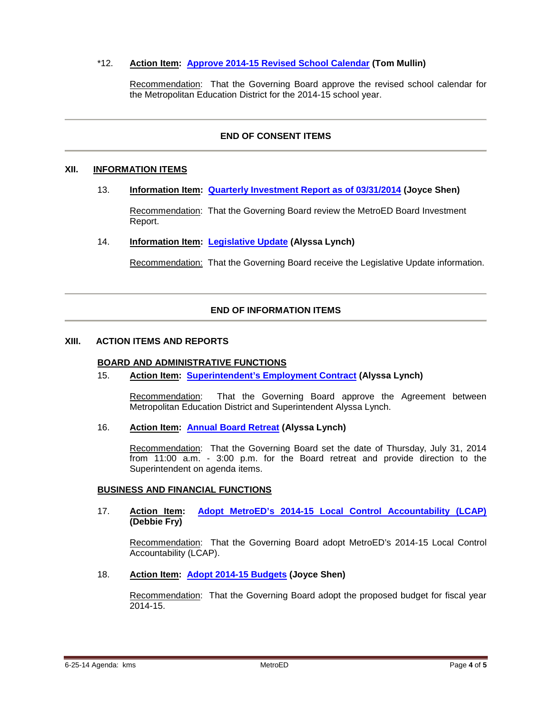# \*12. **Action Item: [Approve 2014-15 Revised School Calendar](http://fbsd.metroed.net/ksmith/Board_Agenda/06-25-14BoardAgenda/Item-12.pdf) (Tom Mullin)**

Recommendation: That the Governing Board approve the revised school calendar for the Metropolitan Education District for the 2014-15 school year.

# **END OF CONSENT ITEMS**

# **XII. INFORMATION ITEMS**

13. **Information Item: [Quarterly Investment Report as of 03/31/2014](http://fbsd.metroed.net/ksmith/Board_Agenda/06-25-14BoardAgenda/Item-13.pdf) (Joyce Shen)**

Recommendation: That the Governing Board review the MetroED Board Investment Report.

### 14. **Information Item: [Legislative Update](http://fbsd.metroed.net/ksmith/Board_Agenda/06-25-14BoardAgenda/Item-14.pdf) (Alyssa Lynch)**

Recommendation: That the Governing Board receive the Legislative Update information.

# **END OF INFORMATION ITEMS**

#### **XIII. ACTION ITEMS AND REPORTS**

### **BOARD AND ADMINISTRATIVE FUNCTIONS**

15. **Action Item: [Superintendent's Employment Contract](http://fbsd.metroed.net/ksmith/Board_Agenda/06-25-14BoardAgenda/Item-15.pdf) (Alyssa Lynch)**

Recommendation: That the Governing Board approve the Agreement between Metropolitan Education District and Superintendent Alyssa Lynch.

# 16. **Action Item: [Annual Board Retreat](http://fbsd.metroed.net/ksmith/Board_Agenda/06-25-14BoardAgenda/Item-16.pdf) (Alyssa Lynch)**

Recommendation: That the Governing Board set the date of Thursday, July 31, 2014 from 11:00 a.m. - 3:00 p.m. for the Board retreat and provide direction to the Superintendent on agenda items.

### **BUSINESS AND FINANCIAL FUNCTIONS**

#### 17. **Action Item: [Adopt MetroED's 2014-15 Local Control Accountability \(LCAP\)](http://fbsd.metroed.net/ksmith/Board_Agenda/06-25-14BoardAgenda/Item-17.pdf) (Debbie Fry)**

Recommendation: That the Governing Board adopt MetroED's 2014-15 Local Control Accountability (LCAP).

# 18. **Action Item: [Adopt 2014-15 Budgets](http://fbsd.metroed.net/ksmith/Board_Agenda/06-25-14BoardAgenda/Item-18.pdf) (Joyce Shen)**

Recommendation: That the Governing Board adopt the proposed budget for fiscal year 2014-15.